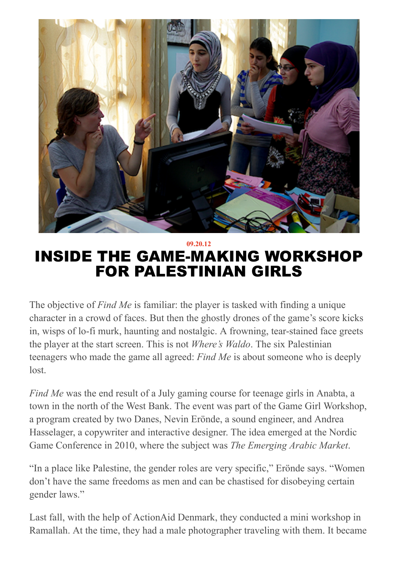

09.20.12 INSIDE THE GAME-MAKING WORKSHOP FOR PALESTINIAN GIRLS

The objective of *Find Me* is familiar: the player is tasked with finding a unique character in a crowd of faces. But then the ghostly drones of the game's score kicks in, wisps of lo-fi murk, haunting and nostalgic. A frowning, tear-stained face greets the player at the start screen. This is not *Where's Waldo*. The six Palestinian teenagers who made the game all agreed: *Find Me* is about someone who is deeply lost.

*Find Me* was the end result of a July gaming course for teenage girls in Anabta, a town in the north of the West Bank. The event was part of the Game Girl Workshop, a program created by two Danes, Nevin Erönde, a sound engineer, and Andrea Hasselager, a copywriter and interactive designer. The idea emerged at the Nordic Game Conference in 2010, where the subject was *The Emerging Arabic Market*.

"In a place like Palestine, the gender roles are very specific," Erönde says. "Women don't have the same freedoms as men and can be chastised for disobeying certain gender laws."

Last fall, with the help of ActionAid Denmark, they conducted a mini workshop in Ramallah. At the time, they had a male photographer traveling with them. It became